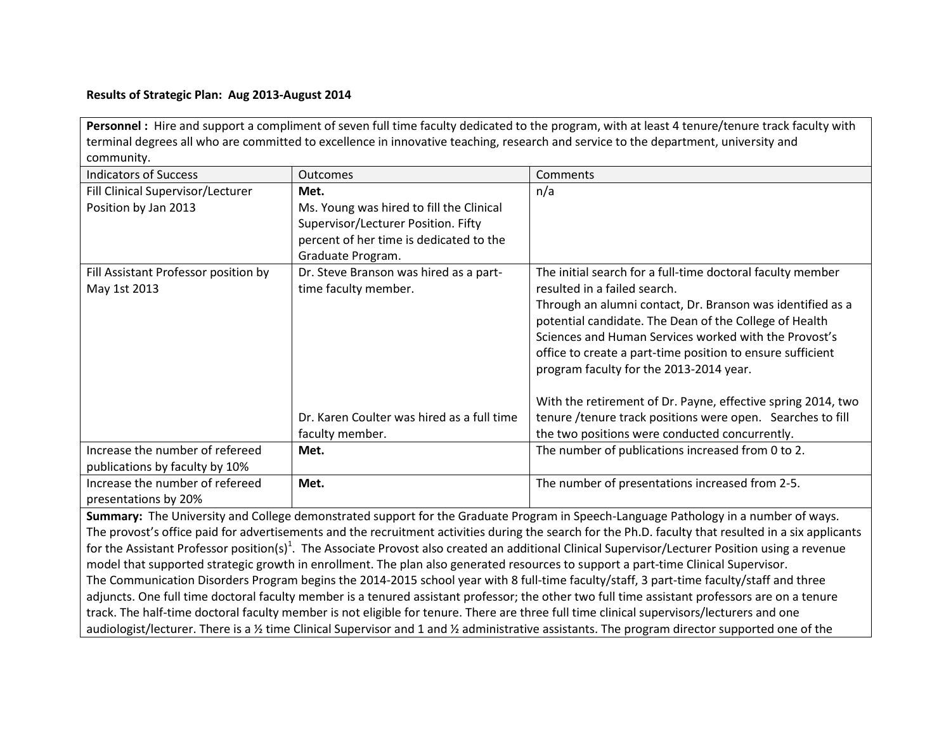## **Results of Strategic Plan: Aug 2013-August 2014**

Personnel : Hire and support a compliment of seven full time faculty dedicated to the program, with at least 4 tenure/tenure track faculty with terminal degrees all who are committed to excellence in innovative teaching, research and service to the department, university and community.

| <b>Indicators of Success</b>                                                                                                                         | <b>Outcomes</b>                                                | Comments                                                                                                                                                                     |  |  |
|------------------------------------------------------------------------------------------------------------------------------------------------------|----------------------------------------------------------------|------------------------------------------------------------------------------------------------------------------------------------------------------------------------------|--|--|
| Fill Clinical Supervisor/Lecturer                                                                                                                    | Met.                                                           | n/a                                                                                                                                                                          |  |  |
| Position by Jan 2013                                                                                                                                 | Ms. Young was hired to fill the Clinical                       |                                                                                                                                                                              |  |  |
|                                                                                                                                                      | Supervisor/Lecturer Position. Fifty                            |                                                                                                                                                                              |  |  |
|                                                                                                                                                      | percent of her time is dedicated to the                        |                                                                                                                                                                              |  |  |
|                                                                                                                                                      | Graduate Program.                                              |                                                                                                                                                                              |  |  |
| Fill Assistant Professor position by<br>May 1st 2013                                                                                                 | Dr. Steve Branson was hired as a part-<br>time faculty member. | The initial search for a full-time doctoral faculty member<br>resulted in a failed search.                                                                                   |  |  |
|                                                                                                                                                      |                                                                | Through an alumni contact, Dr. Branson was identified as a<br>potential candidate. The Dean of the College of Health                                                         |  |  |
|                                                                                                                                                      |                                                                | Sciences and Human Services worked with the Provost's                                                                                                                        |  |  |
|                                                                                                                                                      |                                                                | office to create a part-time position to ensure sufficient                                                                                                                   |  |  |
|                                                                                                                                                      |                                                                | program faculty for the 2013-2014 year.                                                                                                                                      |  |  |
|                                                                                                                                                      | Dr. Karen Coulter was hired as a full time<br>faculty member.  | With the retirement of Dr. Payne, effective spring 2014, two<br>tenure /tenure track positions were open. Searches to fill<br>the two positions were conducted concurrently. |  |  |
| Increase the number of refereed                                                                                                                      | Met.                                                           | The number of publications increased from 0 to 2.                                                                                                                            |  |  |
| publications by faculty by 10%                                                                                                                       |                                                                |                                                                                                                                                                              |  |  |
| Increase the number of refereed                                                                                                                      | Met.                                                           | The number of presentations increased from 2-5.                                                                                                                              |  |  |
| presentations by 20%                                                                                                                                 |                                                                |                                                                                                                                                                              |  |  |
| Summary: The University and College demonstrated support for the Graduate Program in Speech-Language Pathology in a number of ways.                  |                                                                |                                                                                                                                                                              |  |  |
| The provoct's office paid for advertisements and the recruitment activities during the search for the Ph D, faculty that resulted in a six annicants |                                                                |                                                                                                                                                                              |  |  |

The provost's office paid for advertisements and the recruitment activities during the search for the Ph.D. faculty that resulted in a six applicants for the Assistant Professor position(s)<sup>1</sup>. The Associate Provost also created an additional Clinical Supervisor/Lecturer Position using a revenue model that supported strategic growth in enrollment. The plan also generated resources to support a part-time Clinical Supervisor. The Communication Disorders Program begins the 2014-2015 school year with 8 full-time faculty/staff, 3 part-time faculty/staff and three adjuncts. One full time doctoral faculty member is a tenured assistant professor; the other two full time assistant professors are on a tenure track. The half-time doctoral faculty member is not eligible for tenure. There are three full time clinical supervisors/lecturers and one audiologist/lecturer. There is a 1/2 time Clinical Supervisor and 1 and 1/2 administrative assistants. The program director supported one of the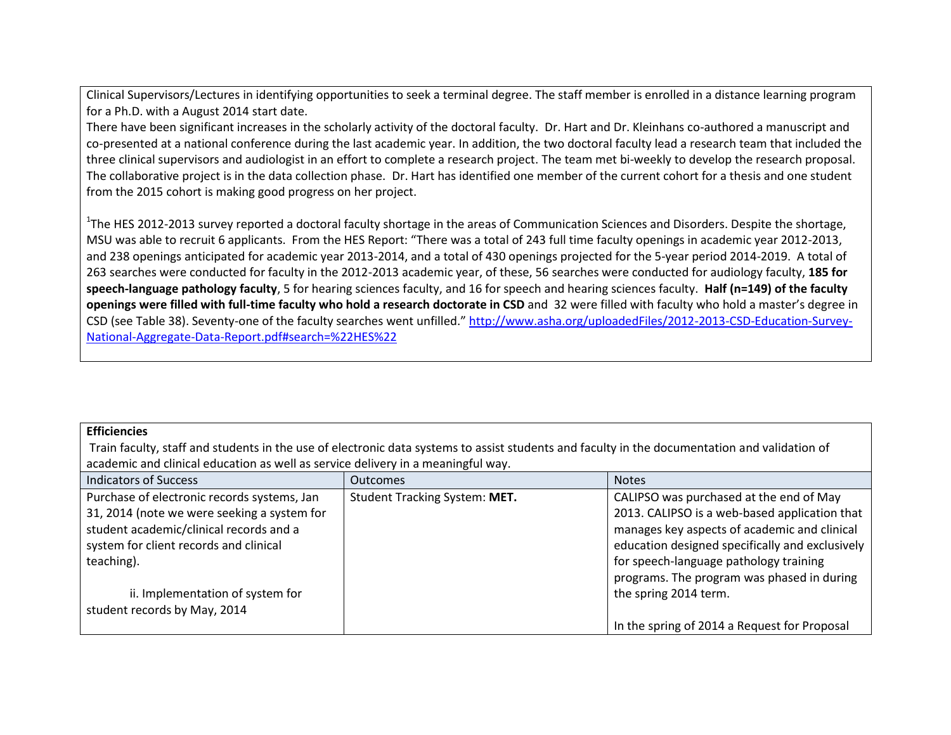Clinical Supervisors/Lectures in identifying opportunities to seek a terminal degree. The staff member is enrolled in a distance learning program for a Ph.D. with a August 2014 start date.

There have been significant increases in the scholarly activity of the doctoral faculty. Dr. Hart and Dr. Kleinhans co-authored a manuscript and co-presented at a national conference during the last academic year. In addition, the two doctoral faculty lead a research team that included the three clinical supervisors and audiologist in an effort to complete a research project. The team met bi-weekly to develop the research proposal. The collaborative project is in the data collection phase. Dr. Hart has identified one member of the current cohort for a thesis and one student from the 2015 cohort is making good progress on her project.

<sup>1</sup>The HES 2012-2013 survey reported a doctoral faculty shortage in the areas of Communication Sciences and Disorders. Despite the shortage, MSU was able to recruit 6 applicants. From the HES Report: "There was a total of 243 full time faculty openings in academic year 2012-2013, and 238 openings anticipated for academic year 2013-2014, and a total of 430 openings projected for the 5-year period 2014-2019. A total of 263 searches were conducted for faculty in the 2012-2013 academic year, of these, 56 searches were conducted for audiology faculty, **185 for speech-language pathology faculty**, 5 for hearing sciences faculty, and 16 for speech and hearing sciences faculty. **Half (n=149) of the faculty openings were filled with full-time faculty who hold a research doctorate in CSD** and 32 were filled with faculty who hold a master's degree in CSD (see Table 38). Seventy-one of the faculty searches went unfilled." [http://www.asha.org/uploadedFiles/2012-2013-CSD-Education-Survey-](http://www.asha.org/uploadedFiles/2012-2013-CSD-Education-Survey-National-Aggregate-Data-Report.pdf#search=%22HES%22)[National-Aggregate-Data-Report.pdf#search=%22HES%22](http://www.asha.org/uploadedFiles/2012-2013-CSD-Education-Survey-National-Aggregate-Data-Report.pdf#search=%22HES%22)

## **Efficiencies**

Train faculty, staff and students in the use of electronic data systems to assist students and faculty in the documentation and validation of academic and clinical education as well as service delivery in a meaningful way.

| <b>Indicators of Success</b>                | <b>Outcomes</b>               | <b>Notes</b>                                    |
|---------------------------------------------|-------------------------------|-------------------------------------------------|
| Purchase of electronic records systems, Jan | Student Tracking System: MET. | CALIPSO was purchased at the end of May         |
| 31, 2014 (note we were seeking a system for |                               | 2013. CALIPSO is a web-based application that   |
| student academic/clinical records and a     |                               | manages key aspects of academic and clinical    |
| system for client records and clinical      |                               | education designed specifically and exclusively |
| teaching).                                  |                               | for speech-language pathology training          |
|                                             |                               | programs. The program was phased in during      |
| ii. Implementation of system for            |                               | the spring 2014 term.                           |
| student records by May, 2014                |                               |                                                 |
|                                             |                               | In the spring of 2014 a Request for Proposal    |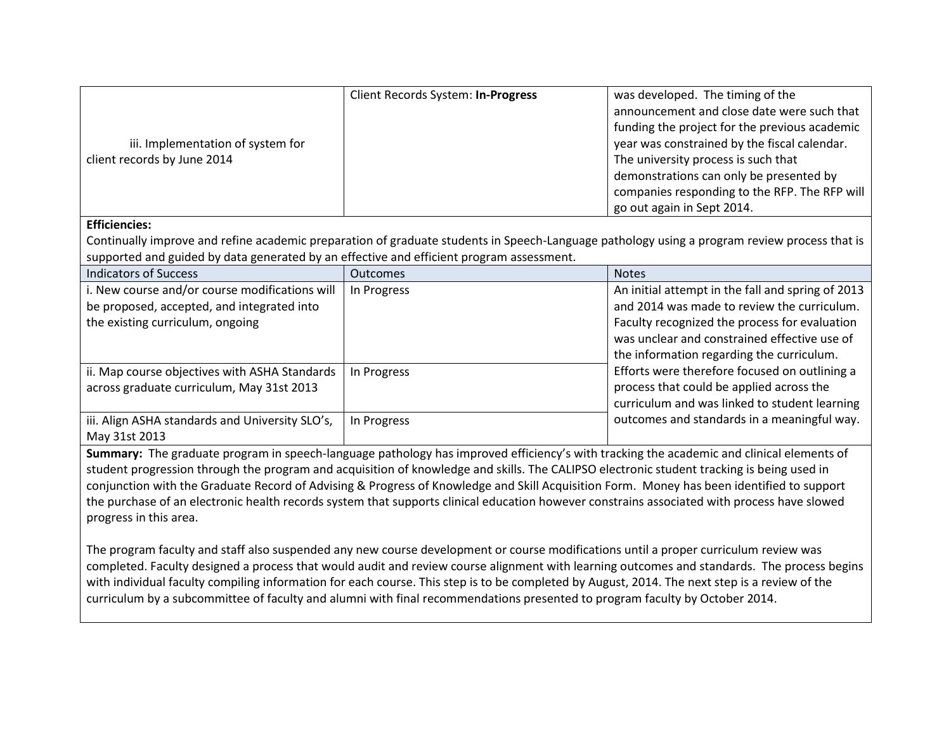|                                   | Client Records System: In-Progress | was developed. The timing of the              |
|-----------------------------------|------------------------------------|-----------------------------------------------|
|                                   |                                    | announcement and close date were such that    |
|                                   |                                    | funding the project for the previous academic |
| iii. Implementation of system for |                                    | year was constrained by the fiscal calendar.  |
| client records by June 2014       |                                    | The university process is such that           |
|                                   |                                    | demonstrations can only be presented by       |
|                                   |                                    | companies responding to the RFP. The RFP will |
|                                   |                                    | go out again in Sept 2014.                    |

## **Efficiencies:**

Continually improve and refine academic preparation of graduate students in Speech-Language pathology using a program review process that is supported and guided by data generated by an effective and efficient program assessment.

| <b>Indicators of Success</b>                                                                                                     | <b>Outcomes</b> | <b>Notes</b>                                                                                                                                                                                                                                   |
|----------------------------------------------------------------------------------------------------------------------------------|-----------------|------------------------------------------------------------------------------------------------------------------------------------------------------------------------------------------------------------------------------------------------|
| i. New course and/or course modifications will<br>be proposed, accepted, and integrated into<br>the existing curriculum, ongoing | In Progress     | An initial attempt in the fall and spring of 2013<br>and 2014 was made to review the curriculum.<br>Faculty recognized the process for evaluation<br>was unclear and constrained effective use of<br>the information regarding the curriculum. |
| ii. Map course objectives with ASHA Standards<br>across graduate curriculum, May 31st 2013                                       | In Progress     | Efforts were therefore focused on outlining a<br>process that could be applied across the<br>curriculum and was linked to student learning                                                                                                     |
| iii. Align ASHA standards and University SLO's,<br>May 31st 2013                                                                 | In Progress     | outcomes and standards in a meaningful way.                                                                                                                                                                                                    |

**Summary:** The graduate program in speech-language pathology has improved efficiency's with tracking the academic and clinical elements of student progression through the program and acquisition of knowledge and skills. The CALIPSO electronic student tracking is being used in conjunction with the Graduate Record of Advising & Progress of Knowledge and Skill Acquisition Form. Money has been identified to support the purchase of an electronic health records system that supports clinical education however constrains associated with process have slowed progress in this area.

The program faculty and staff also suspended any new course development or course modifications until a proper curriculum review was completed. Faculty designed a process that would audit and review course alignment with learning outcomes and standards. The process begins with individual faculty compiling information for each course. This step is to be completed by August, 2014. The next step is a review of the curriculum by a subcommittee of faculty and alumni with final recommendations presented to program faculty by October 2014.